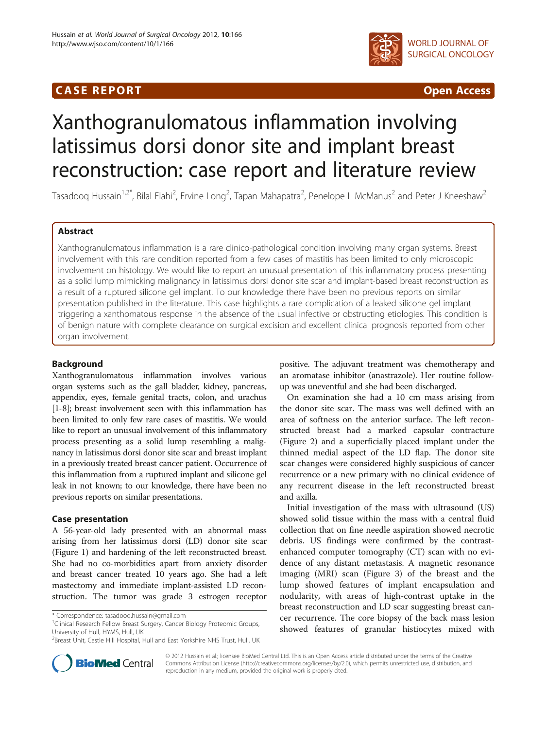## **CASE REPORT CASE REPORT CASE REPORT**



# Xanthogranulomatous inflammation involving latissimus dorsi donor site and implant breast reconstruction: case report and literature review

Tasadooq Hussain<sup>1,2\*</sup>, Bilal Elahi<sup>2</sup>, Ervine Long<sup>2</sup>, Tapan Mahapatra<sup>2</sup>, Penelope L McManus<sup>2</sup> and Peter J Kneeshaw<sup>2</sup>

## Abstract

Xanthogranulomatous inflammation is a rare clinico-pathological condition involving many organ systems. Breast involvement with this rare condition reported from a few cases of mastitis has been limited to only microscopic involvement on histology. We would like to report an unusual presentation of this inflammatory process presenting as a solid lump mimicking malignancy in latissimus dorsi donor site scar and implant-based breast reconstruction as a result of a ruptured silicone gel implant. To our knowledge there have been no previous reports on similar presentation published in the literature. This case highlights a rare complication of a leaked silicone gel implant triggering a xanthomatous response in the absence of the usual infective or obstructing etiologies. This condition is of benign nature with complete clearance on surgical excision and excellent clinical prognosis reported from other organ involvement.

## Background

Xanthogranulomatous inflammation involves various organ systems such as the gall bladder, kidney, pancreas, appendix, eyes, female genital tracts, colon, and urachus [[1-8\]](#page-3-0); breast involvement seen with this inflammation has been limited to only few rare cases of mastitis. We would like to report an unusual involvement of this inflammatory process presenting as a solid lump resembling a malignancy in latissimus dorsi donor site scar and breast implant in a previously treated breast cancer patient. Occurrence of this inflammation from a ruptured implant and silicone gel leak in not known; to our knowledge, there have been no previous reports on similar presentations.

## Case presentation

A 56-year-old lady presented with an abnormal mass arising from her latissimus dorsi (LD) donor site scar (Figure [1](#page-1-0)) and hardening of the left reconstructed breast. She had no co-morbidities apart from anxiety disorder and breast cancer treated 10 years ago. She had a left mastectomy and immediate implant-assisted LD reconstruction. The tumor was grade 3 estrogen receptor

<sup>1</sup>Clinical Research Fellow Breast Surgery, Cancer Biology Proteomic Groups, University of Hull, HYMS, Hull, UK

positive. The adjuvant treatment was chemotherapy and an aromatase inhibitor (anastrazole). Her routine followup was uneventful and she had been discharged.

On examination she had a 10 cm mass arising from the donor site scar. The mass was well defined with an area of softness on the anterior surface. The left reconstructed breast had a marked capsular contracture (Figure [2\)](#page-1-0) and a superficially placed implant under the thinned medial aspect of the LD flap. The donor site scar changes were considered highly suspicious of cancer recurrence or a new primary with no clinical evidence of any recurrent disease in the left reconstructed breast and axilla.

Initial investigation of the mass with ultrasound (US) showed solid tissue within the mass with a central fluid collection that on fine needle aspiration showed necrotic debris. US findings were confirmed by the contrastenhanced computer tomography (CT) scan with no evidence of any distant metastasis. A magnetic resonance imaging (MRI) scan (Figure [3](#page-2-0)) of the breast and the lump showed features of implant encapsulation and nodularity, with areas of high-contrast uptake in the breast reconstruction and LD scar suggesting breast cancer recurrence. The core biopsy of the back mass lesion showed features of granular histiocytes mixed with



© 2012 Hussain et al.; licensee BioMed Central Ltd. This is an Open Access article distributed under the terms of the Creative Commons Attribution License [\(http://creativecommons.org/licenses/by/2.0\)](http://creativecommons.org/licenses/by/2.0), which permits unrestricted use, distribution, and reproduction in any medium, provided the original work is properly cited.

<sup>\*</sup> Correspondence: [tasadooq.hussain@gmail.com](mailto:tasadooq.hussain@gmail.com) <sup>1</sup>

<sup>&</sup>lt;sup>2</sup> Breast Unit, Castle Hill Hospital, Hull and East Yorkshire NHS Trust, Hull, UK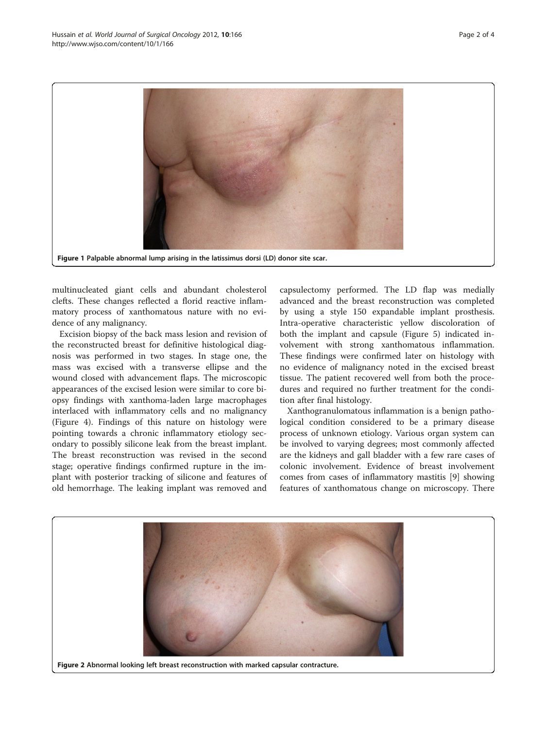<span id="page-1-0"></span>

multinucleated giant cells and abundant cholesterol clefts. These changes reflected a florid reactive inflammatory process of xanthomatous nature with no evidence of any malignancy.

Excision biopsy of the back mass lesion and revision of the reconstructed breast for definitive histological diagnosis was performed in two stages. In stage one, the mass was excised with a transverse ellipse and the wound closed with advancement flaps. The microscopic appearances of the excised lesion were similar to core biopsy findings with xanthoma-laden large macrophages interlaced with inflammatory cells and no malignancy (Figure [4](#page-2-0)). Findings of this nature on histology were pointing towards a chronic inflammatory etiology secondary to possibly silicone leak from the breast implant. The breast reconstruction was revised in the second stage; operative findings confirmed rupture in the implant with posterior tracking of silicone and features of old hemorrhage. The leaking implant was removed and

capsulectomy performed. The LD flap was medially advanced and the breast reconstruction was completed by using a style 150 expandable implant prosthesis. Intra-operative characteristic yellow discoloration of both the implant and capsule (Figure [5\)](#page-2-0) indicated involvement with strong xanthomatous inflammation. These findings were confirmed later on histology with no evidence of malignancy noted in the excised breast tissue. The patient recovered well from both the procedures and required no further treatment for the condition after final histology.

Xanthogranulomatous inflammation is a benign pathological condition considered to be a primary disease process of unknown etiology. Various organ system can be involved to varying degrees; most commonly affected are the kidneys and gall bladder with a few rare cases of colonic involvement. Evidence of breast involvement comes from cases of inflammatory mastitis [[9\]](#page-3-0) showing features of xanthomatous change on microscopy. There

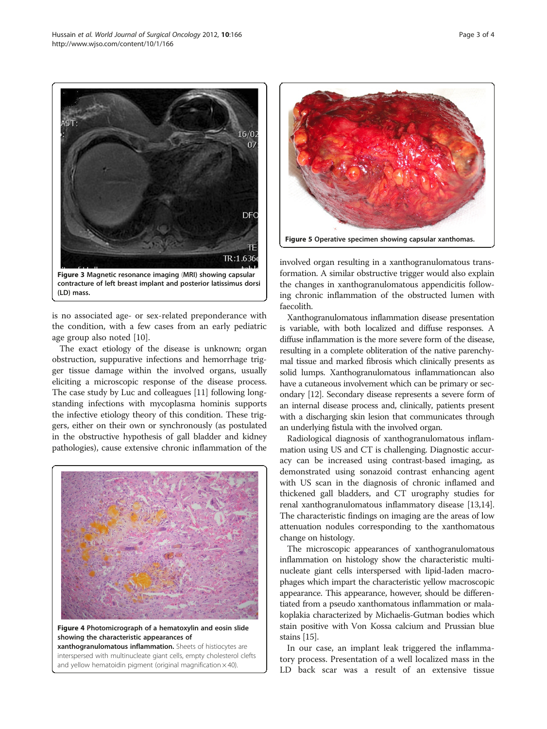<span id="page-2-0"></span>

contracture of left breast implant and posterior latissimus dorsi (LD) mass.

is no associated age- or sex-related preponderance with the condition, with a few cases from an early pediatric age group also noted [\[10](#page-3-0)].

The exact etiology of the disease is unknown; organ obstruction, suppurative infections and hemorrhage trigger tissue damage within the involved organs, usually eliciting a microscopic response of the disease process. The case study by Luc and colleagues [\[11\]](#page-3-0) following longstanding infections with mycoplasma hominis supports the infective etiology theory of this condition. These triggers, either on their own or synchronously (as postulated in the obstructive hypothesis of gall bladder and kidney pathologies), cause extensive chronic inflammation of the



Figure 4 Photomicrograph of a hematoxylin and eosin slide showing the characteristic appearances of

xanthogranulomatous inflammation. Sheets of histiocytes are interspersed with multinucleate giant cells, empty cholesterol clefts and yellow hematoidin pigment (original magnification  $\times$  40).



involved organ resulting in a xanthogranulomatous transformation. A similar obstructive trigger would also explain the changes in xanthogranulomatous appendicitis following chronic inflammation of the obstructed lumen with faecolith.

Xanthogranulomatous inflammation disease presentation is variable, with both localized and diffuse responses. A diffuse inflammation is the more severe form of the disease, resulting in a complete obliteration of the native parenchymal tissue and marked fibrosis which clinically presents as solid lumps. Xanthogranulomatous inflammationcan also have a cutaneous involvement which can be primary or secondary [\[12\]](#page-3-0). Secondary disease represents a severe form of an internal disease process and, clinically, patients present with a discharging skin lesion that communicates through an underlying fistula with the involved organ.

Radiological diagnosis of xanthogranulomatous inflammation using US and CT is challenging. Diagnostic accuracy can be increased using contrast-based imaging, as demonstrated using sonazoid contrast enhancing agent with US scan in the diagnosis of chronic inflamed and thickened gall bladders, and CT urography studies for renal xanthogranulomatous inflammatory disease [\[13,14](#page-3-0)]. The characteristic findings on imaging are the areas of low attenuation nodules corresponding to the xanthomatous change on histology.

The microscopic appearances of xanthogranulomatous inflammation on histology show the characteristic multinucleate giant cells interspersed with lipid-laden macrophages which impart the characteristic yellow macroscopic appearance. This appearance, however, should be differentiated from a pseudo xanthomatous inflammation or malakoplakia characterized by Michaelis-Gutman bodies which stain positive with Von Kossa calcium and Prussian blue stains [[15](#page-3-0)].

In our case, an implant leak triggered the inflammatory process. Presentation of a well localized mass in the LD back scar was a result of an extensive tissue